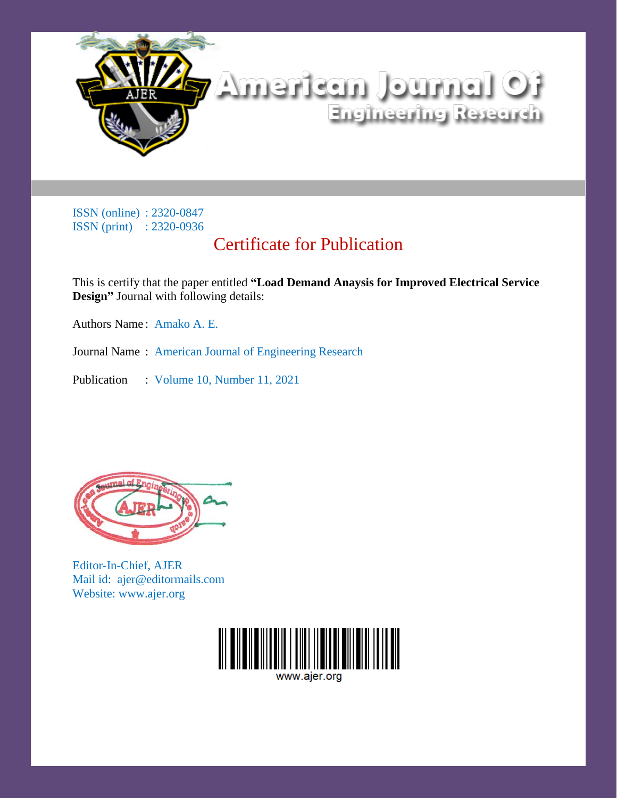

## Certificate for Publication

This is certify that the paper entitled **"Load Demand Anaysis for Improved Electrical Service Design"** Journal with following details:

Authors Name : Amako A. E.

Journal Name : American Journal of Engineering Research

Publication : Volume 10, Number 11, 2021



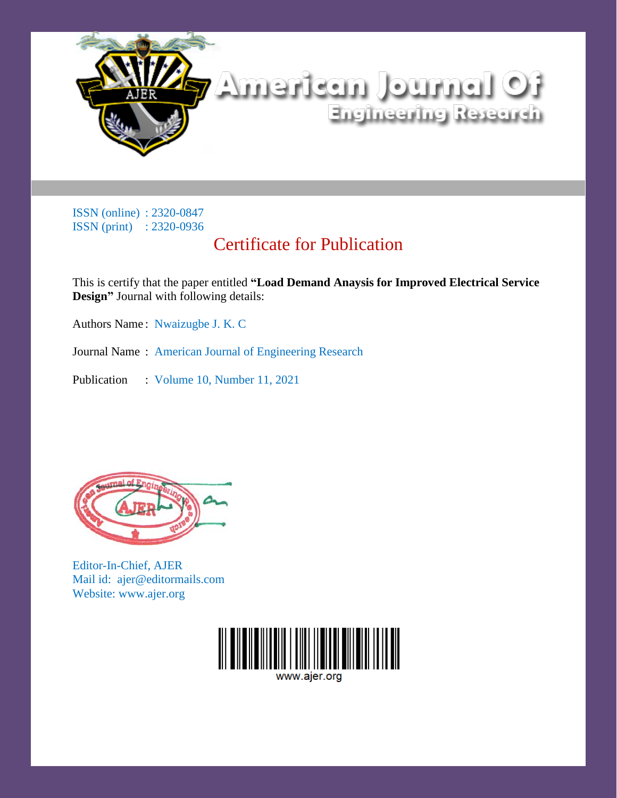

## Certificate for Publication

This is certify that the paper entitled **"Load Demand Anaysis for Improved Electrical Service Design"** Journal with following details:

Authors Name : Nwaizugbe J. K. C

Journal Name : American Journal of Engineering Research

Publication : Volume 10, Number 11, 2021



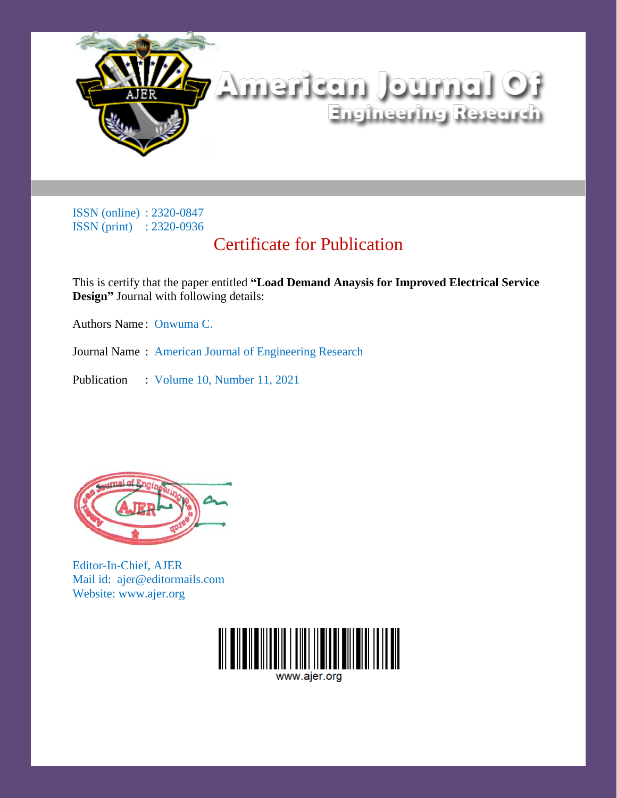

## Certificate for Publication

This is certify that the paper entitled **"Load Demand Anaysis for Improved Electrical Service Design"** Journal with following details:

Authors Name : Onwuma C.

Journal Name : American Journal of Engineering Research

Publication : Volume 10, Number 11, 2021